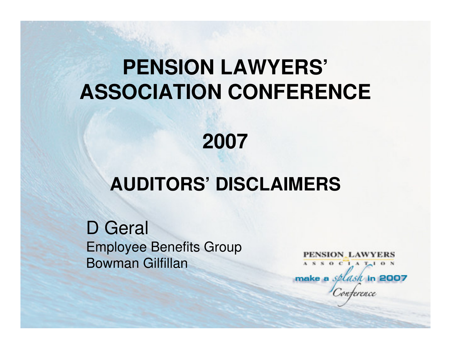## **PENSION LAWYERS'ASSOCIATION CONFERENCE**

#### **2007**

#### **AUDITORS' DISCLAIMERS**

D GeralEmployee Benefits GroupBowman Gilfillan

PENSION LAWYERS  $S$  O C  $I$  A  $T$ <sup>1</sup> O N make a *splash* in 2007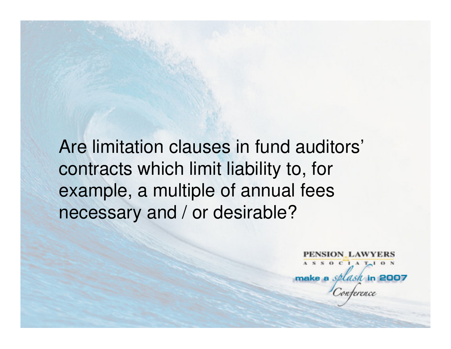Are limitation clauses in fund auditors'contracts which limit liability to, for example, a multiple of annual fees necessary and / or desirable?

> PENSION LAWYERS ASSOCIATION make a *splask* in 2007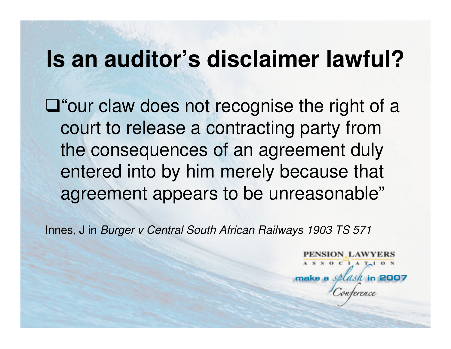#### **Is an auditor's disclaimer lawful?**

 $\square$  "our claw does not recognise the right of a court to release a contracting party from the consequences of an agreement duly entered into by him merely because that agreement appears to be unreasonable"

Innes, J in Burger v Central South African Railways 1903 TS 571

SION LAWYERS  $0 C1 A T<sub>1</sub> 0 N$ make a splash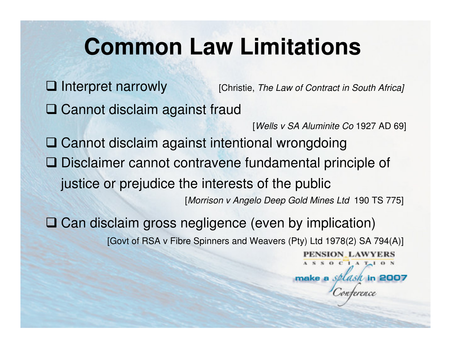# **Common Law Limitations**

 $\Box$  Interpret narrowly [Christie, The Law of Contract in South Africa] **□ Cannot disclaim against fraud** [Wells v SA Aluminite Co 1927 AD 69]**Q** Cannot disclaim against intentional wrongdoing **□** Disclaimer cannot contravene fundamental principle of justice or prejudice the interests of the public [Morrison v Angelo Deep Gold Mines Ltd 190 TS 775]Can disclaim gross negligence (even by implication) [Govt of RSA v Fibre Spinners and Weavers (Pty) Ltd 1978(2) SA 794(A)]PENSION LAWYERS  $S$  O C I A T<sub>r</sub> I O N make a splash in 2007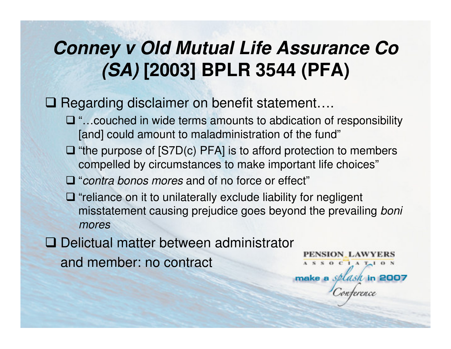#### **Conney v Old Mutual Life Assurance Co (SA) [2003] BPLR 3544 (PFA)**

## □ Regarding disclaimer on benefit statement....

- $\Box$  "...couched in wide terms amounts to abdication of responsibility [and] could amount to maladministration of the fund" [and] could amount to maladministration of the fund"
- $\Box$  "the purpose of  $[STD(c) PFA]$  is to afford protection to members compolled by circumstances to make important life choices" compelled by circumstances to make important life choices"
- $\Box$  "contra bonos mores and of no force or effect"
- T "reliance on it to unilaterally exclude liability for negligent"<br>misstatement causing projudice goos boyond the provaili misstatement causing prejudice goes beyond the prevailing boni mores
- Delictual matter between administrator

and member: no contract

PENSION LAWYERS  $A S S 0 C 1 A T<sub>1</sub> 0 N$ make a *splasil* in 2007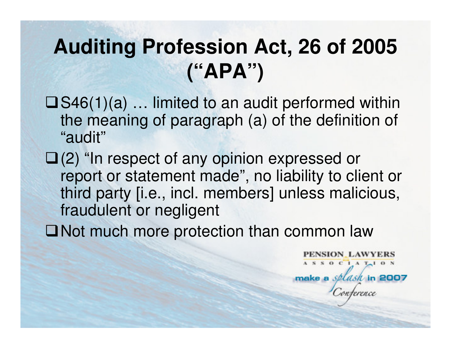## **Auditing Profession Act, 26 of 2005 ("APA")**

- $\square$  S46(1)(a) ... limited to an audit performed within the meaning of paragraph (a) of the definition of "audit"
- $\Box$ (2) "In respect of any opinion expressed or report or statement made", no liability to client or third party [i.e., incl. members] unless malicious,fraudulent or negligent
- ■Not much more protection than common law

**PENSION\_LAWYERS**  $S$  O C  $I$  A  $T-1$  O N make a splash in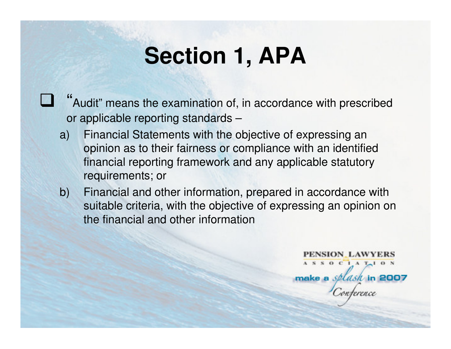## **Section 1, APA**

""Audit" means the examination of, in accordance with prescribed or applicable reporting standards –

 $\mathbb{Z}$ 

- a) Financial Statements with the objective of expressing an opinion as to their fairness or compliance with an identified financial reporting framework and any applicable statutory requirements; or
- b) Financial and other information, prepared in accordance with suitable criteria, with the objective of expressing an opinion on the financial and other information

PENSION LAWYERS  $A S S 0 C 1 A T<sub>1</sub> 0 N$ make a *splash* in 2007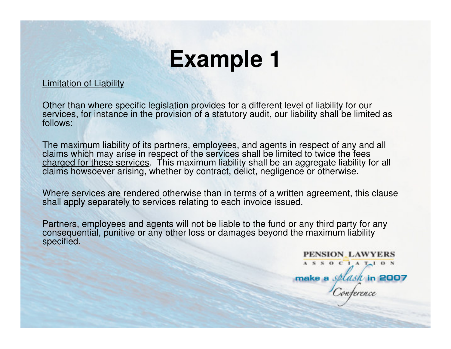# **Example 1**

#### Limitation of Liability

Other than where specific legislation provides for a different level of liability for our services, for instance in the provision of a statutory audit, our liability shall be limited as follows:

The maximum liability of its partners, employees, and agents in respect of any and all claims which may arise in respect of the services shall be limited to twice the fees charged for these services. This maximum liability shall be an aggregate liability for all claims howsoever arising, whether by contract, delict, negligence or otherwise.

Where services are rendered otherwise than in terms of a written agreement, this clause shall apply separately to services relating to each invoice issued.

Partners, employees and agents will not be liable to the fund or any third party for any consequential, punitive or any other loss or damages beyond the maximum liability specified.

> PENSION LAWYERS ASSOCIATION

make a *splash* in 2007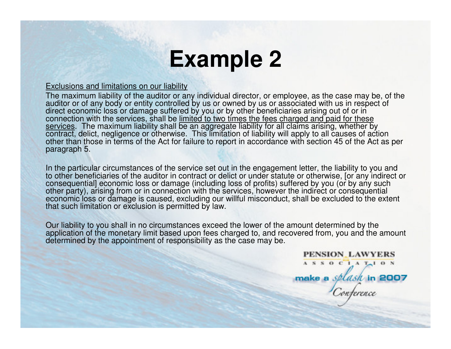## **Example 2**

#### Exclusions and limitations on our liability

 The maximum liability of the auditor or any individual director, or employee, as the case may be, of the auditor or of any body or entity controlled by us or owned by us or associated with us in respect of direct economic loss or damage suffered by you or by other beneficiaries arising out of or in connection with the services, shall be <u>limited to two times the fees charged and paid for these</u> services. The maximum liability shall be an aggregate liability for all claims arising, whether by contract, delict, negligence or otherwise. This limitation of liability will apply to all causes of action other than those in terms of the Act for failure to report in accordance with section 45 of the Act as per paragraph 5.

In the particular circumstances of the service set out in the engagement letter, the liability to you and to other beneficiaries of the auditor in contract or delict or under statute or otherwise, [or any indirect or conse other party), arising from or in connection with the services, however the indirect or consequential economic loss or damage is caused, excluding our willful misconduct, shall be excluded to the extent that such limitation or exclusion is permitted by law.

Our liability to you shall in no circumstances exceed the lower of the amount determined by the application of the monetary limit based upon fees charged to, and recovered from, you and the amount<br>determined by the appointment of responsibility as the case may be.

> **PENSION LAWYERS** ASSOCIATION

make a *splasil* in 2007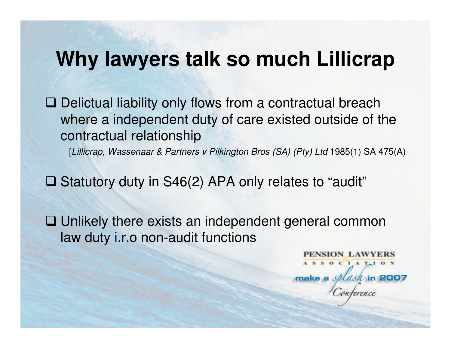#### **Why lawyers talk so much Lillicrap**

Delictual liability only flows from a contractual breach<br>Whore a independent duty of care existed outside of the where a independent duty of care existed outside of the contractual relationship

[Lillicrap, Wassenaar & Partners v Pilkington Bros (SA) (Pty) Ltd 1985(1) SA 475(A)

 $\square$  Statutory duty in S46(2) APA only relates to "audit"

 $\Box$  Unlikely there exists an independent general common law duty i.e. non-audit functions law duty i.r.o non-audit functions

> **SION LAWYERS**  $S$  O C  $I$  A  $T-1$  O N make a *splasil* in 2007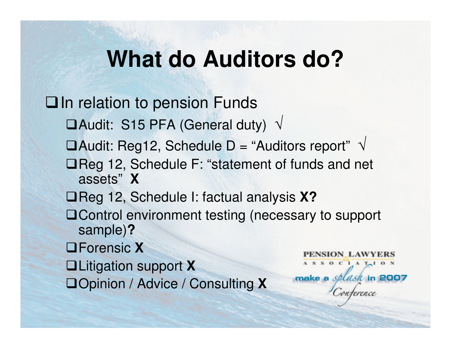## **What do Auditors do?**

**Qln relation to pension Funds**  $\Box$ Audit: S15 PFA (General duty)  $\sqrt{2}$  $\Box$ Audit: Reg12, Schedule D = "Auditors report"  $\,\sqrt{}\,$ **□Reg 12, Schedule F: "statement of funds and net** assets"**X□Reg 12, Schedule I: factual analysis X? □Control environment testing (necessary to support** sample)**?** Forensic **X**NSION\_LAWYERS  $S$  O C I A T<sub>r</sub> I O N Litigation support **X**make a *splasil* in 2007 Opinion / Advice / Consulting **X**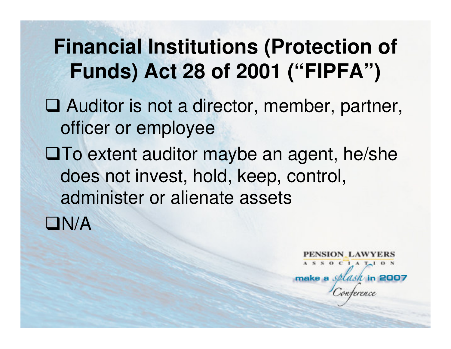## **Financial Institutions (Protection of Funds) Act 28 of 2001 ("FIPFA")**

- □ Auditor is not a director, member, partner, officer or employee
- $\square$  To extent auditor maybe an agent, he/she does not invest, hold, keep, control, administer or alienate assets

 $\Box N/A$ 

SION LAWYERS  $S$  O C  $I$  A  $T-1$  O N make a splash in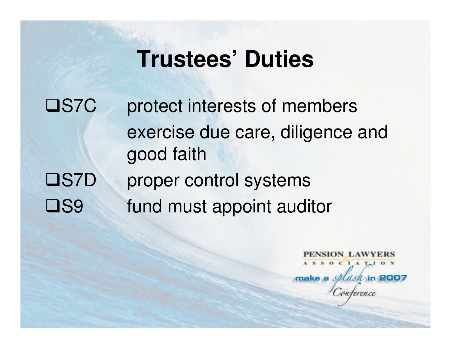#### **Trustees' Duties**

□S7C protect interests of members exercise due care, diligence and good faith**OS7D** proper control systems □S9 fund must appoint auditor

> PENSION LAWYERS  $A S S 0 C 1 A T<sub>1</sub> 0 N$ make a splash in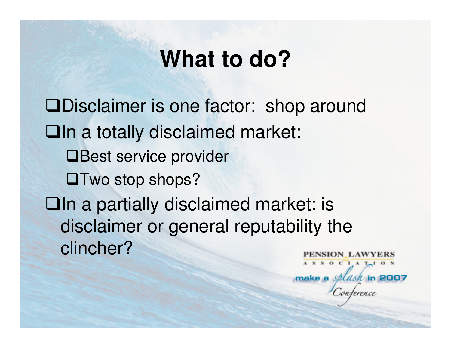## **What to do?**

Disclaimer is one factor: shop aroundIn a totally disclaimed market: **□Best service provider OTwo stop shops? Qln a partially disclaimed market: is** disclaimer or general reputability the clincher?NSION LAWYERS  $S$  O C I A T<sub>r</sub> I O N

make a splash in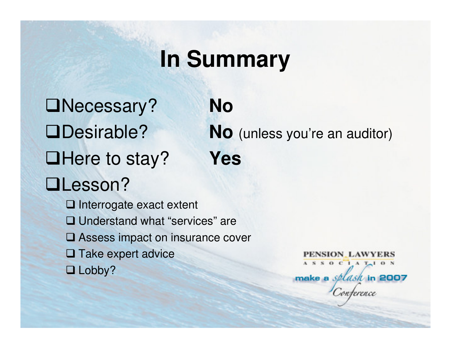# **In Summary**

Necessary? **NoQHere to stay? QLesson?** 

Desirable? **No** (unless you're an auditor)**Yes**

**□** Interrogate exact extent **□ Understand what "services" are Q Assess impact on insurance cover Q Take expert advice**  $\square$  Lobby?

PENSION\_LAWYERS ASSOCIATION make a *splash* in 2007